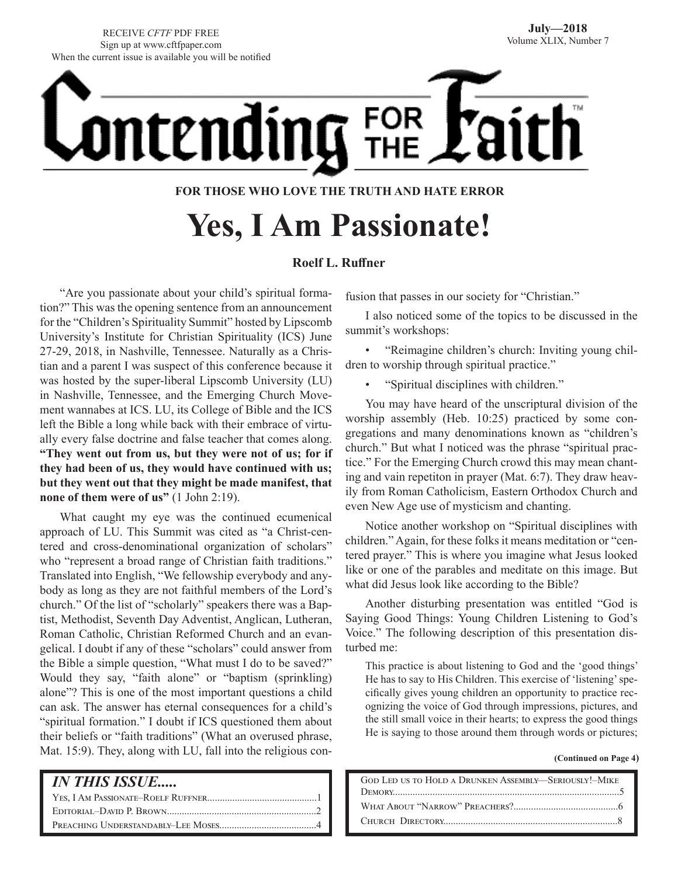RECEIVE *CFTF* PDF FREE Sign up at www.cftfpaper.com When the current issue is available you will be notified



### **FOR THOSE WHO LOVE THE TRUTH AND HATE ERROR**

# **Yes, I Am Passionate!**

### **Roelf L. Ruffner**

"Are you passionate about your child's spiritual formation?" This was the opening sentence from an announcement for the "Children's Spirituality Summit" hosted by Lipscomb University's Institute for Christian Spirituality (ICS) June 27-29, 2018, in Nashville, Tennessee. Naturally as a Christian and a parent I was suspect of this conference because it was hosted by the super-liberal Lipscomb University (LU) in Nashville, Tennessee, and the Emerging Church Movement wannabes at ICS. LU, its College of Bible and the ICS left the Bible a long while back with their embrace of virtually every false doctrine and false teacher that comes along. **"They went out from us, but they were not of us; for if they had been of us, they would have continued with us; but they went out that they might be made manifest, that none of them were of us"** (1 John 2:19).

What caught my eye was the continued ecumenical approach of LU. This Summit was cited as "a Christ-centered and cross-denominational organization of scholars" who "represent a broad range of Christian faith traditions." Translated into English, "We fellowship everybody and anybody as long as they are not faithful members of the Lord's church." Of the list of "scholarly" speakers there was a Baptist, Methodist, Seventh Day Adventist, Anglican, Lutheran, Roman Catholic, Christian Reformed Church and an evangelical. I doubt if any of these "scholars" could answer from the Bible a simple question, "What must I do to be saved?" Would they say, "faith alone" or "baptism (sprinkling) alone"? This is one of the most important questions a child can ask. The answer has eternal consequences for a child's "spiritual formation." I doubt if ICS questioned them about their beliefs or "faith traditions" (What an overused phrase, Mat. 15:9). They, along with LU, fall into the religious con-

### *IN THIS ISSUE.....*

fusion that passes in our society for "Christian."

I also noticed some of the topics to be discussed in the summit's workshops:

• "Reimagine children's church: Inviting young children to worship through spiritual practice."

• "Spiritual disciplines with children."

You may have heard of the unscriptural division of the worship assembly (Heb. 10:25) practiced by some congregations and many denominations known as "children's church." But what I noticed was the phrase "spiritual practice." For the Emerging Church crowd this may mean chanting and vain repetiton in prayer (Mat. 6:7). They draw heavily from Roman Catholicism, Eastern Orthodox Church and even New Age use of mysticism and chanting.

Notice another workshop on "Spiritual disciplines with children." Again, for these folks it means meditation or "centered prayer." This is where you imagine what Jesus looked like or one of the parables and meditate on this image. But what did Jesus look like according to the Bible?

Another disturbing presentation was entitled "God is Saying Good Things: Young Children Listening to God's Voice." The following description of this presentation disturbed me:

This practice is about listening to God and the 'good things' He has to say to His Children. This exercise of 'listening' specifically gives young children an opportunity to practice recognizing the voice of God through impressions, pictures, and the still small voice in their hearts; to express the good things He is saying to those around them through words or pictures;

**(Continued on Page 4)**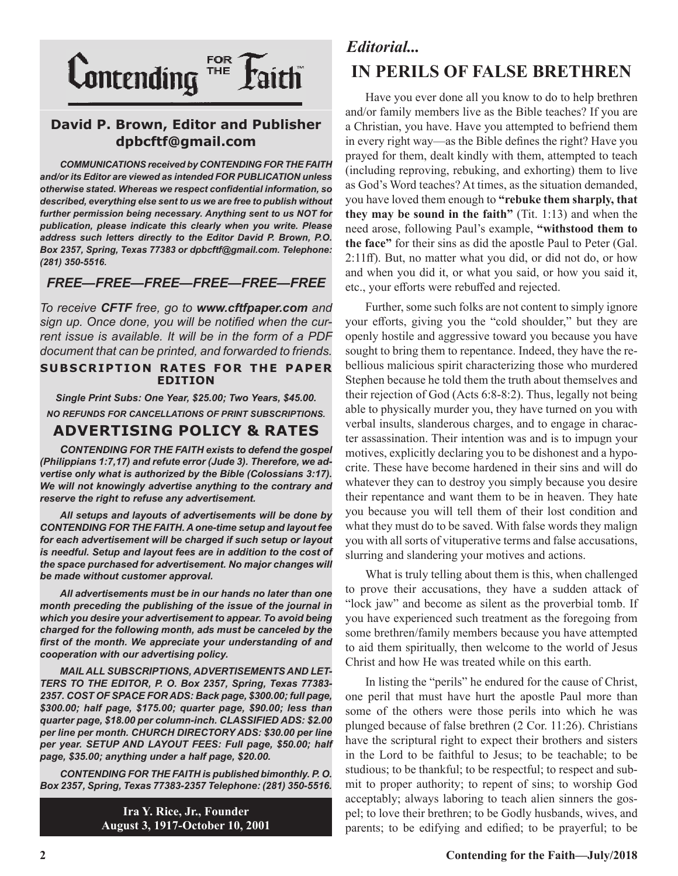

### **David P. Brown, Editor and Publisher dpbcftf@gmail.com**

*COMMUNICATIONS received by CONTENDING FOR THE FAITH and/or its Editor are viewed as intended FOR PUBLICATION unless otherwise stated. Whereas we respect confidential information, so described, everything else sent to us we are free to publish without further permission being necessary. Anything sent to us NOT for publication, please indicate this clearly when you write. Please address such letters directly to the Editor David P. Brown, P.O. Box 2357, Spring, Texas 77383 or dpbcftf@gmail.com. Telephone: (281) 350-5516.*

### *FREE—FREE—FREE—FREE—FREE—FREE*

*To receive CFTF free, go to www.cftfpaper.com and sign up. Once done, you will be notified when the current issue is available. It will be in the form of a PDF document that can be printed, and forwarded to friends.*

### **SUBSCRIPTION RATES FOR THE PAPER EDITION**

*Single Print Subs: One Year, \$25.00; Two Years, \$45.00. NO REFUNDS FOR CANCELLATIONS OF PRINT SUBSCRIPTIONS.*

### **ADVERTISING POLICY & RATES**

*CONTENDING FOR THE FAITH exists to defend the gospel (Philippians 1:7,17) and refute error (Jude 3). Therefore, we advertise only what is authorized by the Bible (Colossians 3:17). We will not knowingly advertise anything to the contrary and reserve the right to refuse any advertisement.*

*All setups and layouts of advertisements will be done by CONTENDING FOR THE FAITH. A one-time setup and layout fee for each advertisement will be charged if such setup or layout*  is needful. Setup and layout fees are in addition to the cost of *the space purchased for advertisement. No major changes will be made without customer approval.*

*All advertisements must be in our hands no later than one month preceding the publishing of the issue of the journal in which you desire your advertisement to appear. To avoid being charged for the following month, ads must be canceled by the first of the month. We appreciate your understanding of and cooperation with our advertising policy.*

*MAIL ALL SUBSCRIPTIONS, ADVERTISEMENTS AND LET-TERS TO THE EDITOR, P. O. Box 2357, Spring, Texas 77383- 2357. COST OF SPACE FOR ADS: Back page, \$300.00; full page, \$300.00; half page, \$175.00; quarter page, \$90.00; less than quarter page, \$18.00 per column-inch. CLASSIFIED ADS: \$2.00 per line per month. CHURCH DIRECTORY ADS: \$30.00 per line per year. SETUP AND LAYOUT FEES: Full page, \$50.00; half page, \$35.00; anything under a half page, \$20.00.*

*CONTENDING FOR THE FAITH is published bimonthly. P. O. Box 2357, Spring, Texas 77383-2357 Telephone: (281) 350-5516.*

> **Ira Y. Rice, Jr., Founder August 3, 1917-October 10, 2001**

## *Editorial...* **IN PERILS OF FALSE BRETHREN**

Have you ever done all you know to do to help brethren and/or family members live as the Bible teaches? If you are a Christian, you have. Have you attempted to befriend them in every right way—as the Bible defines the right? Have you prayed for them, dealt kindly with them, attempted to teach (including reproving, rebuking, and exhorting) them to live as God's Word teaches? At times, as the situation demanded, you have loved them enough to **"rebuke them sharply, that they may be sound in the faith"** (Tit. 1:13) and when the need arose, following Paul's example, **"withstood them to the face"** for their sins as did the apostle Paul to Peter (Gal. 2:11ff). But, no matter what you did, or did not do, or how and when you did it, or what you said, or how you said it, etc., your efforts were rebuffed and rejected.

Further, some such folks are not content to simply ignore your efforts, giving you the "cold shoulder," but they are openly hostile and aggressive toward you because you have sought to bring them to repentance. Indeed, they have the rebellious malicious spirit characterizing those who murdered Stephen because he told them the truth about themselves and their rejection of God (Acts 6:8-8:2). Thus, legally not being able to physically murder you, they have turned on you with verbal insults, slanderous charges, and to engage in character assassination. Their intention was and is to impugn your motives, explicitly declaring you to be dishonest and a hypocrite. These have become hardened in their sins and will do whatever they can to destroy you simply because you desire their repentance and want them to be in heaven. They hate you because you will tell them of their lost condition and what they must do to be saved. With false words they malign you with all sorts of vituperative terms and false accusations, slurring and slandering your motives and actions.

What is truly telling about them is this, when challenged to prove their accusations, they have a sudden attack of "lock jaw" and become as silent as the proverbial tomb. If you have experienced such treatment as the foregoing from some brethren/family members because you have attempted to aid them spiritually, then welcome to the world of Jesus Christ and how He was treated while on this earth.

In listing the "perils" he endured for the cause of Christ, one peril that must have hurt the apostle Paul more than some of the others were those perils into which he was plunged because of false brethren (2 Cor. 11:26). Christians have the scriptural right to expect their brothers and sisters in the Lord to be faithful to Jesus; to be teachable; to be studious; to be thankful; to be respectful; to respect and submit to proper authority; to repent of sins; to worship God acceptably; always laboring to teach alien sinners the gospel; to love their brethren; to be Godly husbands, wives, and parents; to be edifying and edified; to be prayerful; to be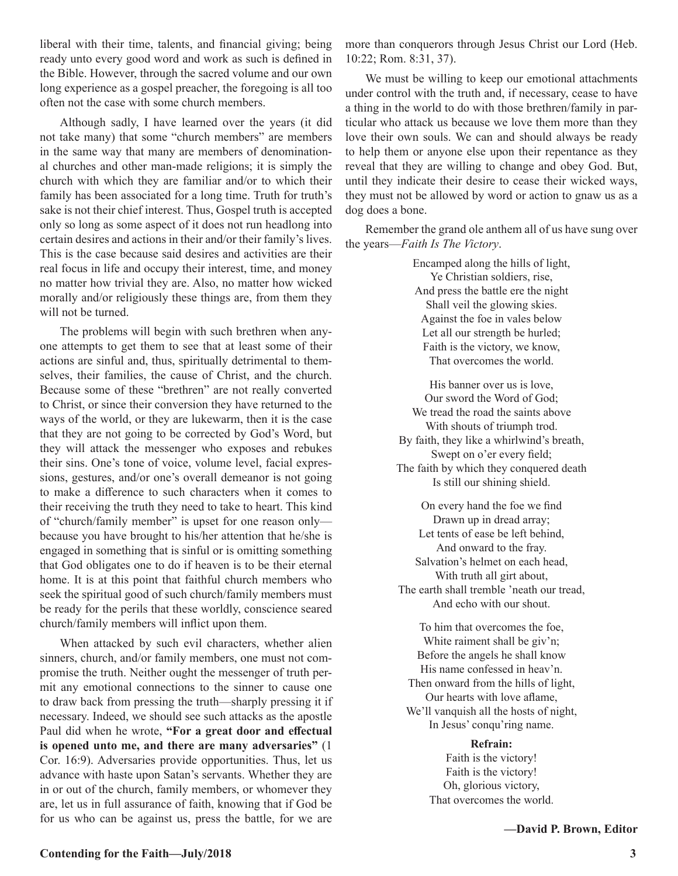liberal with their time, talents, and financial giving; being ready unto every good word and work as such is defined in the Bible. However, through the sacred volume and our own long experience as a gospel preacher, the foregoing is all too often not the case with some church members.

Although sadly, I have learned over the years (it did not take many) that some "church members" are members in the same way that many are members of denominational churches and other man-made religions; it is simply the church with which they are familiar and/or to which their family has been associated for a long time. Truth for truth's sake is not their chief interest. Thus, Gospel truth is accepted only so long as some aspect of it does not run headlong into certain desires and actions in their and/or their family's lives. This is the case because said desires and activities are their real focus in life and occupy their interest, time, and money no matter how trivial they are. Also, no matter how wicked morally and/or religiously these things are, from them they will not be turned.

The problems will begin with such brethren when anyone attempts to get them to see that at least some of their actions are sinful and, thus, spiritually detrimental to themselves, their families, the cause of Christ, and the church. Because some of these "brethren" are not really converted to Christ, or since their conversion they have returned to the ways of the world, or they are lukewarm, then it is the case that they are not going to be corrected by God's Word, but they will attack the messenger who exposes and rebukes their sins. One's tone of voice, volume level, facial expressions, gestures, and/or one's overall demeanor is not going to make a difference to such characters when it comes to their receiving the truth they need to take to heart. This kind of "church/family member" is upset for one reason only because you have brought to his/her attention that he/she is engaged in something that is sinful or is omitting something that God obligates one to do if heaven is to be their eternal home. It is at this point that faithful church members who seek the spiritual good of such church/family members must be ready for the perils that these worldly, conscience seared church/family members will inflict upon them.

When attacked by such evil characters, whether alien sinners, church, and/or family members, one must not compromise the truth. Neither ought the messenger of truth permit any emotional connections to the sinner to cause one to draw back from pressing the truth—sharply pressing it if necessary. Indeed, we should see such attacks as the apostle Paul did when he wrote, **"For a great door and effectual is opened unto me, and there are many adversaries"** (1 Cor. 16:9). Adversaries provide opportunities. Thus, let us advance with haste upon Satan's servants. Whether they are in or out of the church, family members, or whomever they are, let us in full assurance of faith, knowing that if God be for us who can be against us, press the battle, for we are

more than conquerors through Jesus Christ our Lord (Heb. 10:22; Rom. 8:31, 37).

We must be willing to keep our emotional attachments under control with the truth and, if necessary, cease to have a thing in the world to do with those brethren/family in particular who attack us because we love them more than they love their own souls. We can and should always be ready to help them or anyone else upon their repentance as they reveal that they are willing to change and obey God. But, until they indicate their desire to cease their wicked ways, they must not be allowed by word or action to gnaw us as a dog does a bone.

Remember the grand ole anthem all of us have sung over the years—*Faith Is The Victory*.

> Encamped along the hills of light, Ye Christian soldiers, rise, And press the battle ere the night Shall veil the glowing skies. Against the foe in vales below Let all our strength be hurled; Faith is the victory, we know, That overcomes the world.

His banner over us is love, Our sword the Word of God; We tread the road the saints above With shouts of triumph trod. By faith, they like a whirlwind's breath, Swept on o'er every field; The faith by which they conquered death Is still our shining shield.

On every hand the foe we find Drawn up in dread array; Let tents of ease be left behind, And onward to the fray. Salvation's helmet on each head, With truth all girt about, The earth shall tremble 'neath our tread, And echo with our shout.

To him that overcomes the foe, White raiment shall be giv'n; Before the angels he shall know His name confessed in heav'n. Then onward from the hills of light, Our hearts with love aflame, We'll vanquish all the hosts of night, In Jesus' conqu'ring name.

### **Refrain:**

Faith is the victory! Faith is the victory! Oh, glorious victory, That overcomes the world.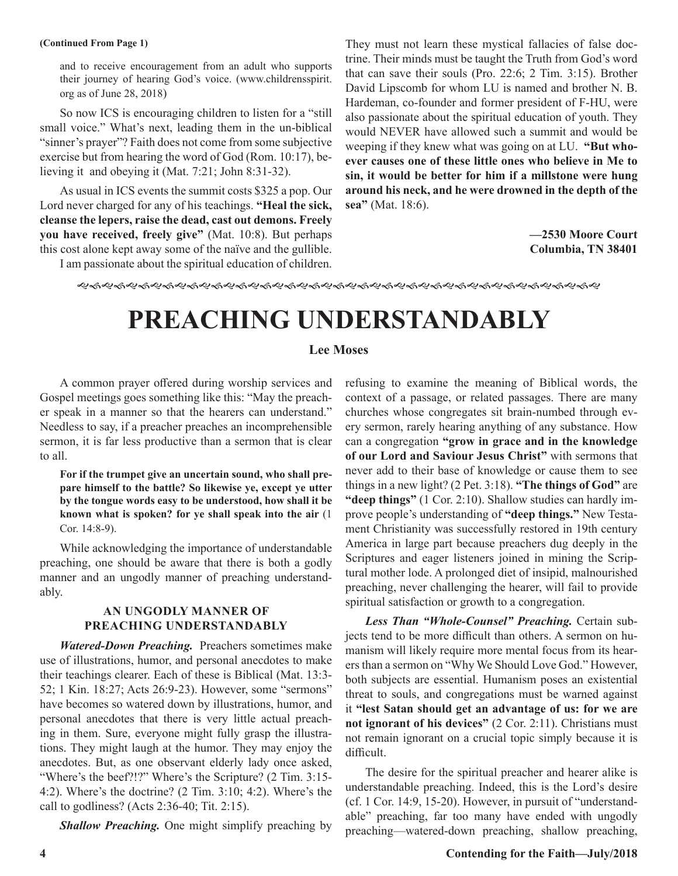### **(Continued From Page 1)**

and to receive encouragement from an adult who supports their journey of hearing God's voice. (www.childrensspirit. org as of June 28, 2018)

So now ICS is encouraging children to listen for a "still small voice." What's next, leading them in the un-biblical "sinner's prayer"? Faith does not come from some subjective exercise but from hearing the word of God (Rom. 10:17), believing it and obeying it (Mat. 7:21; John 8:31-32).

As usual in ICS events the summit costs \$325 a pop. Our Lord never charged for any of his teachings. **"Heal the sick, cleanse the lepers, raise the dead, cast out demons. Freely you have received, freely give"** (Mat. 10:8). But perhaps this cost alone kept away some of the naïve and the gullible.

I am passionate about the spiritual education of children.

They must not learn these mystical fallacies of false doctrine. Their minds must be taught the Truth from God's word that can save their souls (Pro. 22:6; 2 Tim. 3:15). Brother David Lipscomb for whom LU is named and brother N. B. Hardeman, co-founder and former president of F-HU, were also passionate about the spiritual education of youth. They would NEVER have allowed such a summit and would be weeping if they knew what was going on at LU. **"But whoever causes one of these little ones who believe in Me to sin, it would be better for him if a millstone were hung around his neck, and he were drowned in the depth of the sea"** (Mat. 18:6).

> **—2530 Moore Court Columbia, TN 38401**

gfgfgfgfgfgfgfgfgfgfgfgfgfgfgfgfgfgfgfgfgfg

# **PREACHING UNDERSTANDABLY**

### **Lee Moses**

A common prayer offered during worship services and Gospel meetings goes something like this: "May the preacher speak in a manner so that the hearers can understand." Needless to say, if a preacher preaches an incomprehensible sermon, it is far less productive than a sermon that is clear to all.

**For if the trumpet give an uncertain sound, who shall prepare himself to the battle? So likewise ye, except ye utter by the tongue words easy to be understood, how shall it be known what is spoken? for ye shall speak into the air** (1 Cor. 14:8-9).

While acknowledging the importance of understandable preaching, one should be aware that there is both a godly manner and an ungodly manner of preaching understandably.

### **AN UNGODLY MANNER OF PREACHING UNDERSTANDABLY**

*Watered-Down Preaching.* Preachers sometimes make use of illustrations, humor, and personal anecdotes to make their teachings clearer. Each of these is Biblical (Mat. 13:3- 52; 1 Kin. 18:27; Acts 26:9-23). However, some "sermons" have becomes so watered down by illustrations, humor, and personal anecdotes that there is very little actual preaching in them. Sure, everyone might fully grasp the illustrations. They might laugh at the humor. They may enjoy the anecdotes. But, as one observant elderly lady once asked, "Where's the beef?!?" Where's the Scripture? (2 Tim. 3:15-4:2). Where's the doctrine? (2 Tim. 3:10; 4:2). Where's the call to godliness? (Acts 2:36-40; Tit. 2:15).

*Shallow Preaching.* One might simplify preaching by

refusing to examine the meaning of Biblical words, the context of a passage, or related passages. There are many churches whose congregates sit brain-numbed through every sermon, rarely hearing anything of any substance. How can a congregation **"grow in grace and in the knowledge of our Lord and Saviour Jesus Christ"** with sermons that never add to their base of knowledge or cause them to see things in a new light? (2 Pet. 3:18). **"The things of God"** are **"deep things"** (1 Cor. 2:10). Shallow studies can hardly improve people's understanding of **"deep things."** New Testament Christianity was successfully restored in 19th century America in large part because preachers dug deeply in the Scriptures and eager listeners joined in mining the Scriptural mother lode. A prolonged diet of insipid, malnourished preaching, never challenging the hearer, will fail to provide spiritual satisfaction or growth to a congregation.

*Less Than "Whole-Counsel" Preaching.* Certain subjects tend to be more difficult than others. A sermon on humanism will likely require more mental focus from its hearers than a sermon on "Why We Should Love God." However, both subjects are essential. Humanism poses an existential threat to souls, and congregations must be warned against it **"lest Satan should get an advantage of us: for we are not ignorant of his devices"** (2 Cor. 2:11). Christians must not remain ignorant on a crucial topic simply because it is difficult.

The desire for the spiritual preacher and hearer alike is understandable preaching. Indeed, this is the Lord's desire (cf. 1 Cor. 14:9, 15-20). However, in pursuit of "understandable" preaching, far too many have ended with ungodly preaching—watered-down preaching, shallow preaching,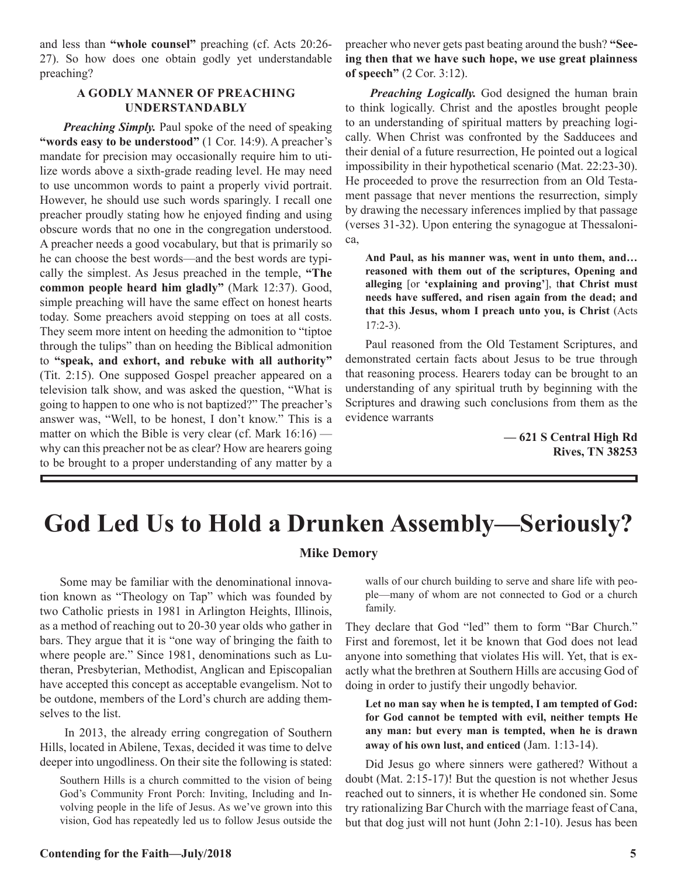and less than **"whole counsel"** preaching (cf. Acts 20:26- 27). So how does one obtain godly yet understandable preaching?

### **A GODLY MANNER OF PREACHING UNDERSTANDABLY**

*Preaching Simply.* Paul spoke of the need of speaking **"words easy to be understood"** (1 Cor. 14:9). A preacher's mandate for precision may occasionally require him to utilize words above a sixth-grade reading level. He may need to use uncommon words to paint a properly vivid portrait. However, he should use such words sparingly. I recall one preacher proudly stating how he enjoyed finding and using obscure words that no one in the congregation understood. A preacher needs a good vocabulary, but that is primarily so he can choose the best words—and the best words are typically the simplest. As Jesus preached in the temple, **"The common people heard him gladly"** (Mark 12:37). Good, simple preaching will have the same effect on honest hearts today. Some preachers avoid stepping on toes at all costs. They seem more intent on heeding the admonition to "tiptoe through the tulips" than on heeding the Biblical admonition to **"speak, and exhort, and rebuke with all authority"** (Tit. 2:15). One supposed Gospel preacher appeared on a television talk show, and was asked the question, "What is going to happen to one who is not baptized?" The preacher's answer was, "Well, to be honest, I don't know." This is a matter on which the Bible is very clear (cf. Mark 16:16) why can this preacher not be as clear? How are hearers going to be brought to a proper understanding of any matter by a

preacher who never gets past beating around the bush? **"Seeing then that we have such hope, we use great plainness of speech"** (2 Cor. 3:12).

*Preaching Logically.* God designed the human brain to think logically. Christ and the apostles brought people to an understanding of spiritual matters by preaching logically. When Christ was confronted by the Sadducees and their denial of a future resurrection, He pointed out a logical impossibility in their hypothetical scenario (Mat. 22:23-30). He proceeded to prove the resurrection from an Old Testament passage that never mentions the resurrection, simply by drawing the necessary inferences implied by that passage (verses 31-32). Upon entering the synagogue at Thessalonica,

**And Paul, as his manner was, went in unto them, and… reasoned with them out of the scriptures, Opening and alleging** [or **'explaining and proving'**], t**hat Christ must needs have suffered, and risen again from the dead; and that this Jesus, whom I preach unto you, is Christ** (Acts 17:2-3).

Paul reasoned from the Old Testament Scriptures, and demonstrated certain facts about Jesus to be true through that reasoning process. Hearers today can be brought to an understanding of any spiritual truth by beginning with the Scriptures and drawing such conclusions from them as the evidence warrants

> **— 621 S Central High Rd Rives, TN 38253**

# **God Led Us to Hold a Drunken Assembly—Seriously?**

### **Mike Demory**

Some may be familiar with the denominational innovation known as "Theology on Tap" which was founded by two Catholic priests in 1981 in Arlington Heights, Illinois, as a method of reaching out to 20-30 year olds who gather in bars. They argue that it is "one way of bringing the faith to where people are." Since 1981, denominations such as Lutheran, Presbyterian, Methodist, Anglican and Episcopalian have accepted this concept as acceptable evangelism. Not to be outdone, members of the Lord's church are adding themselves to the list.

 In 2013, the already erring congregation of Southern Hills, located in Abilene, Texas, decided it was time to delve deeper into ungodliness. On their site the following is stated:

Southern Hills is a church committed to the vision of being God's Community Front Porch: Inviting, Including and Involving people in the life of Jesus. As we've grown into this vision, God has repeatedly led us to follow Jesus outside the walls of our church building to serve and share life with people—many of whom are not connected to God or a church family.

They declare that God "led" them to form "Bar Church." First and foremost, let it be known that God does not lead anyone into something that violates His will. Yet, that is exactly what the brethren at Southern Hills are accusing God of doing in order to justify their ungodly behavior.

**Let no man say when he is tempted, I am tempted of God: for God cannot be tempted with evil, neither tempts He any man: but every man is tempted, when he is drawn away of his own lust, and enticed** (Jam. 1:13-14).

Did Jesus go where sinners were gathered? Without a doubt (Mat. 2:15-17)! But the question is not whether Jesus reached out to sinners, it is whether He condoned sin. Some try rationalizing Bar Church with the marriage feast of Cana, but that dog just will not hunt (John 2:1-10). Jesus has been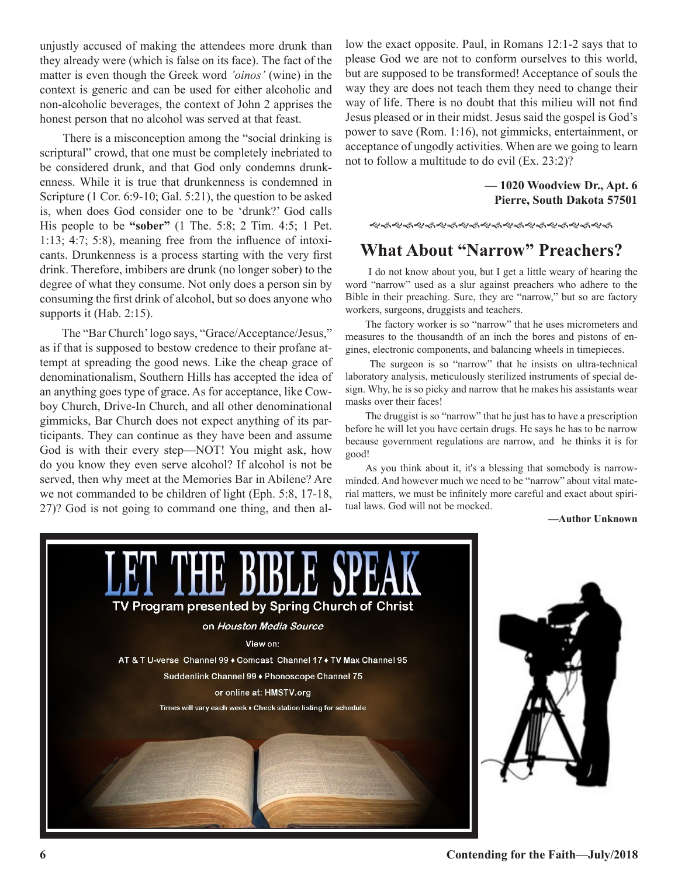unjustly accused of making the attendees more drunk than they already were (which is false on its face). The fact of the matter is even though the Greek word *'oinos'* (wine) in the context is generic and can be used for either alcoholic and non-alcoholic beverages, the context of John 2 apprises the honest person that no alcohol was served at that feast.

 There is a misconception among the "social drinking is scriptural" crowd, that one must be completely inebriated to be considered drunk, and that God only condemns drunkenness. While it is true that drunkenness is condemned in Scripture (1 Cor. 6:9-10; Gal. 5:21), the question to be asked is, when does God consider one to be 'drunk?' God calls His people to be **"sober"** (1 The. 5:8; 2 Tim. 4:5; 1 Pet. 1:13; 4:7; 5:8), meaning free from the influence of intoxicants. Drunkenness is a process starting with the very first drink. Therefore, imbibers are drunk (no longer sober) to the degree of what they consume. Not only does a person sin by consuming the first drink of alcohol, but so does anyone who supports it (Hab. 2:15).

 The "Bar Church' logo says, "Grace/Acceptance/Jesus," as if that is supposed to bestow credence to their profane attempt at spreading the good news. Like the cheap grace of denominationalism, Southern Hills has accepted the idea of an anything goes type of grace. As for acceptance, like Cowboy Church, Drive-In Church, and all other denominational gimmicks, Bar Church does not expect anything of its participants. They can continue as they have been and assume God is with their every step—NOT! You might ask, how do you know they even serve alcohol? If alcohol is not be served, then why meet at the Memories Bar in Abilene? Are we not commanded to be children of light (Eph. 5:8, 17-18, 27)? God is not going to command one thing, and then allow the exact opposite. Paul, in Romans 12:1-2 says that to please God we are not to conform ourselves to this world, but are supposed to be transformed! Acceptance of souls the way they are does not teach them they need to change their way of life. There is no doubt that this milieu will not find Jesus pleased or in their midst. Jesus said the gospel is God's power to save (Rom. 1:16), not gimmicks, entertainment, or acceptance of ungodly activities. When are we going to learn not to follow a multitude to do evil (Ex. 23:2)?

> **— 1020 Woodview Dr., Apt. 6 Pierre, South Dakota 57501**

ୡ୶ୡ୶ୡ୶ୡ୶ଌ୶ଌ୶ଌ୶ଌ୶ଌ୶ଌ୶ଌ୶ଌ୶

### **What About "Narrow" Preachers?**

 I do not know about you, but I get a little weary of hearing the word "narrow" used as a slur against preachers who adhere to the Bible in their preaching. Sure, they are "narrow," but so are factory workers, surgeons, druggists and teachers.

The factory worker is so "narrow" that he uses micrometers and measures to the thousandth of an inch the bores and pistons of engines, electronic components, and balancing wheels in timepieces.

 The surgeon is so "narrow" that he insists on ultra-technical laboratory analysis, meticulously sterilized instruments of special design. Why, he is so picky and narrow that he makes his assistants wear masks over their faces!

The druggist is so "narrow" that he just has to have a prescription before he will let you have certain drugs. He says he has to be narrow because government regulations are narrow, and he thinks it is for good!

As you think about it, it's a blessing that somebody is narrowminded. And however much we need to be "narrow" about vital material matters, we must be infinitely more careful and exact about spiritual laws. God will not be mocked.

**—Author Unknown**

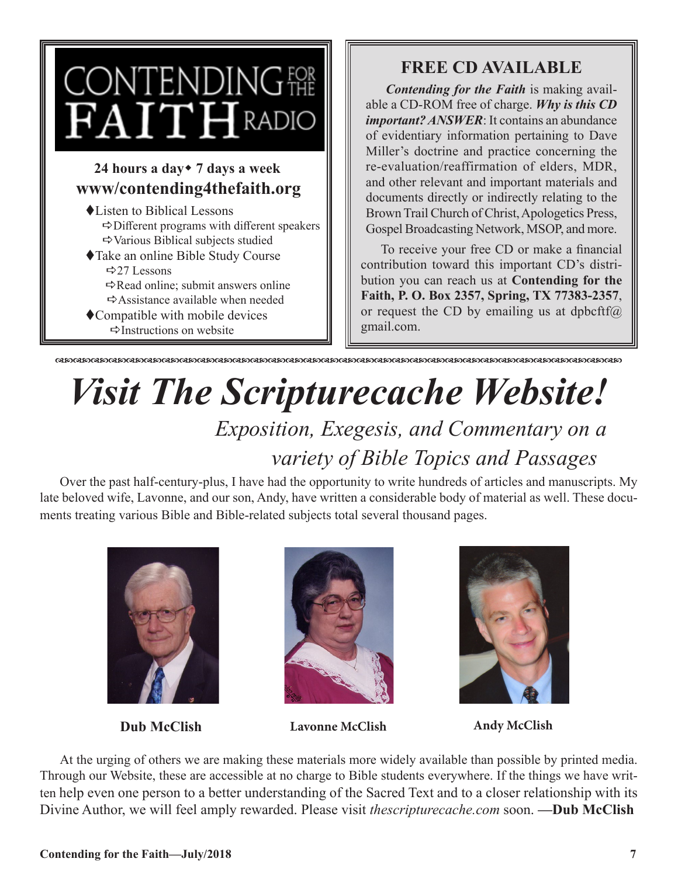

- $\Rightarrow$  Different programs with different speakers  $\Rightarrow$  Various Biblical subjects studied
- ◆Take an online Bible Study Course  $\Rightarrow$  27 Lessons
	- $\Rightarrow$  Read online; submit answers online  $\Rightarrow$  Assistance available when needed
- $\bullet$  Compatible with mobile devices  $\Rightarrow$ Instructions on website

### **FREE CD AVAILABLE**

*Contending for the Faith* is making available a CD-ROM free of charge. *Why is this CD important? ANSWER*: It contains an abundance of evidentiary information pertaining to Dave Miller's doctrine and practice concerning the re-evaluation/reaffirmation of elders, MDR, and other relevant and important materials and documents directly or indirectly relating to the Brown Trail Church of Christ, Apologetics Press, Gospel Broadcasting Network, MSOP, and more.

To receive your free CD or make a financial contribution toward this important CD's distribution you can reach us at **Contending for the Faith, P. O. Box 2357, Spring, TX 77383-2357**, or request the CD by emailing us at dpbcftf $(a)$ gmail.com.

dcdcdcdcdcdcdcdcdcdcdcdcdcdcdcdcdcdcdcdcdcdcdcdcdcdcdcdcdcdcdcdc

# *Visit The Scripturecache Website!*

# *Exposition, Exegesis, and Commentary on a variety of Bible Topics and Passages*

Over the past half-century-plus, I have had the opportunity to write hundreds of articles and manuscripts. My late beloved wife, Lavonne, and our son, Andy, have written a considerable body of material as well. These documents treating various Bible and Bible-related subjects total several thousand pages.





**Dub McClish Lavonne McClish Andy McClish**



At the urging of others we are making these materials more widely available than possible by printed media. Through our Website, these are accessible at no charge to Bible students everywhere. If the things we have written help even one person to a better understanding of the Sacred Text and to a closer relationship with its Divine Author, we will feel amply rewarded. Please visit *thescripturecache.com* soon. **—Dub McClish**